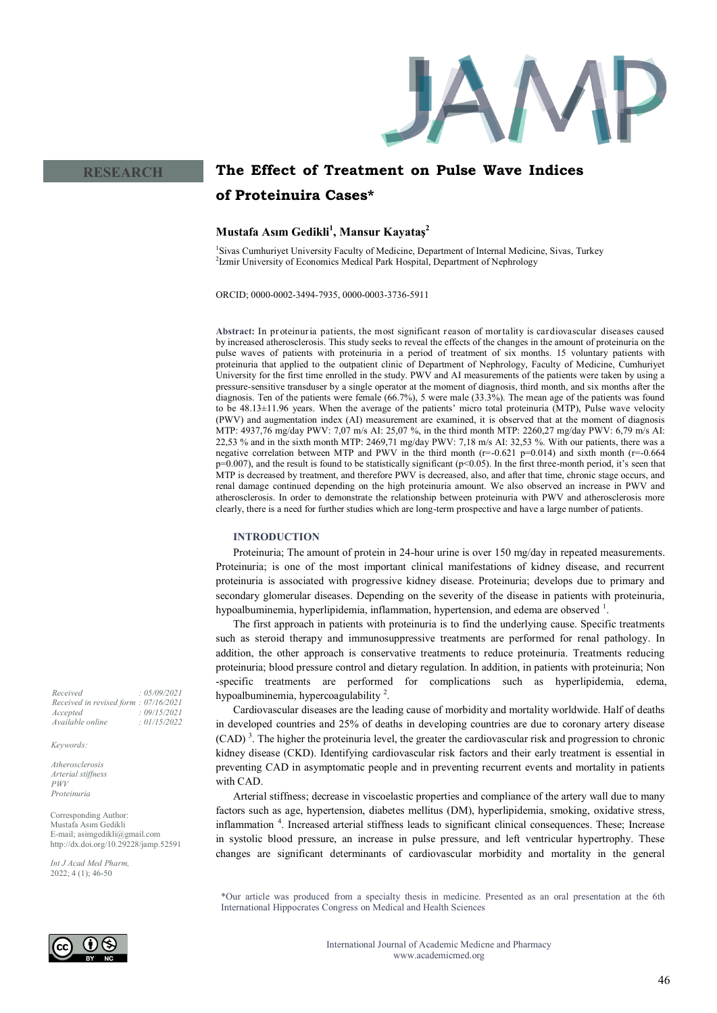

# **The Effect of Treatment on Pulse Wave Indices of Proteinuira Cases\***

## **Mustafa Asım Gedikli<sup>1</sup> , Mansur Kayataş<sup>2</sup>**

<sup>1</sup>Sivas Cumhuriyet University Faculty of Medicine, Department of Internal Medicine, Sivas, Turkey <sup>2</sup>Izmir University of Economics Medical Park Hospital, Department of Nephrology

ORCID; 0000-0002-3494-7935, 0000-0003-3736-5911

**Abstract:** In pr oteinuria patients, the most significant reason of mortality is cardiovascular diseases caused by increased atherosclerosis. This study seeks to reveal the effects of the changes in the amount of proteinuria on the pulse waves of patients with proteinuria in a period of treatment of six months. 15 voluntary patients with proteinuria that applied to the outpatient clinic of Department of Nephrology, Faculty of Medicine, Cumhuriyet University for the first time enrolled in the study. PWV and AI measurements of the patients were taken by using a pressure-sensitive transduser by a single operator at the moment of diagnosis, third month, and six months after the diagnosis. Ten of the patients were female (66.7%), 5 were male (33.3%). The mean age of the patients was found to be 48.13±11.96 years. When the average of the patients' micro total proteinuria (MTP), Pulse wave velocity (PWV) and augmentation index (AI) measurement are examined, it is observed that at the moment of diagnosis MTP: 4937,76 mg/day PWV: 7,07 m/s AI: 25,07 %, in the third month MTP: 2260,27 mg/day PWV: 6,79 m/s AI: 22,53 % and in the sixth month MTP: 2469,71 mg/day PWV: 7,18 m/s AI: 32,53 %. With our patients, there was a negative correlation between MTP and PWV in the third month ( $r=-0.621$  p=0.014) and sixth month ( $r=-0.664$ p=0.007), and the result is found to be statistically significant (p<0.05). In the first three-month period, it's seen that MTP is decreased by treatment, and therefore PWV is decreased, also, and after that time, chronic stage occurs, and renal damage continued depending on the high proteinuria amount. We also observed an increase in PWV and atherosclerosis. In order to demonstrate the relationship between proteinuria with PWV and atherosclerosis more clearly, there is a need for further studies which are long-term prospective and have a large number of patients.

## **INTRODUCTION**

Proteinuria; The amount of protein in 24-hour urine is over 150 mg/day in repeated measurements. Proteinuria; is one of the most important clinical manifestations of kidney disease, and recurrent proteinuria is associated with progressive kidney disease. Proteinuria; develops due to primary and secondary glomerular diseases. Depending on the severity of the disease in patients with proteinuria, hypoalbuminemia, hyperlipidemia, inflammation, hypertension, and edema are observed <sup>1</sup>.

The first approach in patients with proteinuria is to find the underlying cause. Specific treatments such as steroid therapy and immunosuppressive treatments are performed for renal pathology. In addition, the other approach is conservative treatments to reduce proteinuria. Treatments reducing proteinuria; blood pressure control and dietary regulation. In addition, in patients with proteinuria; Non -specific treatments are performed for complications such as hyperlipidemia, edema, hypoalbuminemia, hypercoagulability<sup>2</sup>.

Cardiovascular diseases are the leading cause of morbidity and mortality worldwide. Half of deaths in developed countries and 25% of deaths in developing countries are due to coronary artery disease (CAD)<sup>3</sup>. The higher the proteinuria level, the greater the cardiovascular risk and progression to chronic kidney disease (CKD). Identifying cardiovascular risk factors and their early treatment is essential in preventing CAD in asymptomatic people and in preventing recurrent events and mortality in patients with CAD.

Arterial stiffness; decrease in viscoelastic properties and compliance of the artery wall due to many factors such as age, hypertension, diabetes mellitus (DM), hyperlipidemia, smoking, oxidative stress, inflammation <sup>4</sup> . Increased arterial stiffness leads to significant clinical consequences. These; Increase in systolic blood pressure, an increase in pulse pressure, and left ventricular hypertrophy. These changes are significant determinants of cardiovascular morbidity and mortality in the general

\*Our article was produced from a specialty thesis in medicine. Presented as an oral presentation at the 6th International Hippocrates Congress on Medical and Health Sciences



*Received : 05/09/2021 Received in revised form : 07/16/2021 Accepted : 09/15/2021 Available online : 01/15/2022*

**RESEARCH**

*Keywords:*

*Atherosclerosis Arterial stiffness PWV Proteinuria*

Corresponding Author: Mustafa Asım Gedikli E-mail; asimgedikli@gmail.com http://dx.doi.org/10.29228/jamp.52591

*Int J Acad Med Pharm,* 2022; 4 (1); 46-50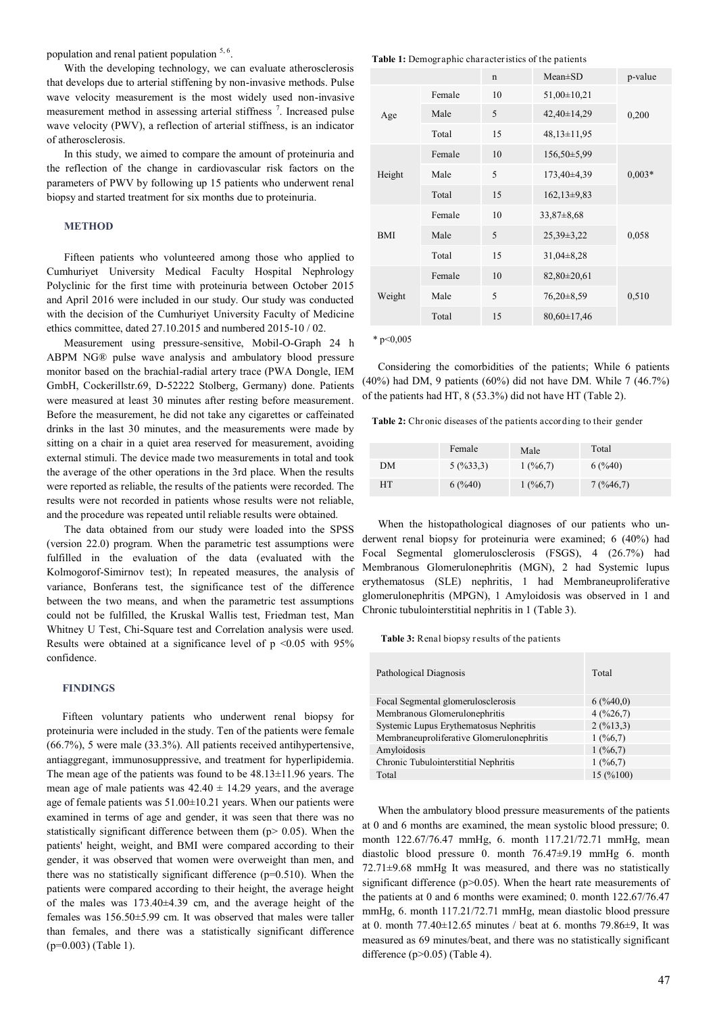population and renal patient population  $5, 6$ .

With the developing technology, we can evaluate atherosclerosis that develops due to arterial stiffening by non-invasive methods. Pulse wave velocity measurement is the most widely used non-invasive measurement method in assessing arterial stiffness<sup>7</sup>. Increased pulse wave velocity (PWV), a reflection of arterial stiffness, is an indicator of atherosclerosis.

In this study, we aimed to compare the amount of proteinuria and the reflection of the change in cardiovascular risk factors on the parameters of PWV by following up 15 patients who underwent renal biopsy and started treatment for six months due to proteinuria.

## **METHOD**

Fifteen patients who volunteered among those who applied to Cumhuriyet University Medical Faculty Hospital Nephrology Polyclinic for the first time with proteinuria between October 2015 and April 2016 were included in our study. Our study was conducted with the decision of the Cumhuriyet University Faculty of Medicine ethics committee, dated 27.10.2015 and numbered 2015-10 / 02.

Measurement using pressure-sensitive, Mobil-O-Graph 24 h ABPM NG® pulse wave analysis and ambulatory blood pressure monitor based on the brachial-radial artery trace (PWA Dongle, IEM GmbH, Cockerillstr.69, D-52222 Stolberg, Germany) done. Patients were measured at least 30 minutes after resting before measurement. Before the measurement, he did not take any cigarettes or caffeinated drinks in the last 30 minutes, and the measurements were made by sitting on a chair in a quiet area reserved for measurement, avoiding external stimuli. The device made two measurements in total and took the average of the other operations in the 3rd place. When the results were reported as reliable, the results of the patients were recorded. The results were not recorded in patients whose results were not reliable, and the procedure was repeated until reliable results were obtained.

The data obtained from our study were loaded into the SPSS (version 22.0) program. When the parametric test assumptions were fulfilled in the evaluation of the data (evaluated with the Kolmogorof-Simirnov test); In repeated measures, the analysis of variance, Bonferans test, the significance test of the difference between the two means, and when the parametric test assumptions could not be fulfilled, the Kruskal Wallis test, Friedman test, Man Whitney U Test, Chi-Square test and Correlation analysis were used. Results were obtained at a significance level of  $p \le 0.05$  with 95% confidence.

#### **FINDINGS**

Fifteen voluntary patients who underwent renal biopsy for proteinuria were included in the study. Ten of the patients were female (66.7%), 5 were male (33.3%). All patients received antihypertensive, antiaggregant, immunosuppressive, and treatment for hyperlipidemia. The mean age of the patients was found to be 48.13±11.96 years. The mean age of male patients was  $42.40 \pm 14.29$  years, and the average age of female patients was 51.00±10.21 years. When our patients were examined in terms of age and gender, it was seen that there was no statistically significant difference between them (p> 0.05). When the patients' height, weight, and BMI were compared according to their gender, it was observed that women were overweight than men, and there was no statistically significant difference  $(p=0.510)$ . When the patients were compared according to their height, the average height of the males was 173.40±4.39 cm, and the average height of the females was 156.50±5.99 cm. It was observed that males were taller than females, and there was a statistically significant difference (p=0.003) (Table 1).

**Table 1:** Demographic characteristics of the patients

|            |        | $\mathbf n$ | $Mean \pm SD$     | p-value  |
|------------|--------|-------------|-------------------|----------|
|            | Female | 10          | $51,00 \pm 10,21$ |          |
| Age        | Male   | 5           | 42,40±14,29       | 0,200    |
|            | Total  | 15          | $48,13 \pm 11,95$ |          |
|            | Female | 10          | $156,50\pm5,99$   |          |
| Height     | Male   | 5           | 173,40±4,39       | $0,003*$ |
|            | Total  | 15          | $162, 13\pm9, 83$ |          |
|            | Female | 10          | $33,87 \pm 8,68$  |          |
| <b>BMI</b> | Male   | 5           | $25,39\pm3,22$    | 0,058    |
|            | Total  | 15          | $31,04\pm8,28$    |          |
| Weight     | Female | 10          | $82,80 \pm 20,61$ |          |
|            | Male   | 5           | $76,20\pm8,59$    | 0,510    |
|            | Total  | 15          | $80,60 \pm 17,46$ |          |

 $*$  p<0.005

Considering the comorbidities of the patients; While 6 patients (40%) had DM, 9 patients (60%) did not have DM. While 7 (46.7%) of the patients had HT, 8 (53.3%) did not have HT (Table 2).

**Table 2:** Chr onic diseases of the patients according to their gender

|    | Female    | Male    | Total    |
|----|-----------|---------|----------|
| DМ | 5(9633,3) | 1(%6,7) | 6(%40)   |
| HТ | 6(%40)    | 1(%6,7) | 7(%46,7) |

When the histopathological diagnoses of our patients who underwent renal biopsy for proteinuria were examined; 6 (40%) had Focal Segmental glomerulosclerosis (FSGS), 4 (26.7%) had Membranous Glomerulonephritis (MGN), 2 had Systemic lupus erythematosus (SLE) nephritis, 1 had Membraneuproliferative glomerulonephritis (MPGN), 1 Amyloidosis was observed in 1 and Chronic tubulointerstitial nephritis in 1 (Table 3).

**Table 3:** Renal biopsy results of the patients

| Pathological Diagnosis                    | Total    |
|-------------------------------------------|----------|
| Focal Segmental glomerulosclerosis        | 6(%40,0) |
| Membranous Glomerulonephritis             | 4(%26,7) |
| Systemic Lupus Erythematosus Nephritis    | 2(%13,3) |
| Membraneuproliferative Glomerulonephritis | 1(%6,7)  |
| Amyloidosis                               | 1(%6,7)  |
| Chronic Tubulointerstitial Nephritis      | 1(%6,7)  |
| Total                                     | 15(%100) |

When the ambulatory blood pressure measurements of the patients at 0 and 6 months are examined, the mean systolic blood pressure; 0. month 122.67/76.47 mmHg, 6. month 117.21/72.71 mmHg, mean diastolic blood pressure 0. month 76.47±9.19 mmHg 6. month 72.71±9.68 mmHg It was measured, and there was no statistically significant difference (p>0.05). When the heart rate measurements of the patients at 0 and 6 months were examined; 0. month 122.67/76.47 mmHg, 6. month 117.21/72.71 mmHg, mean diastolic blood pressure at 0. month  $77.40\pm12.65$  minutes / beat at 6. months  $79.86\pm9$ , It was measured as 69 minutes/beat, and there was no statistically significant difference (p>0.05) (Table 4).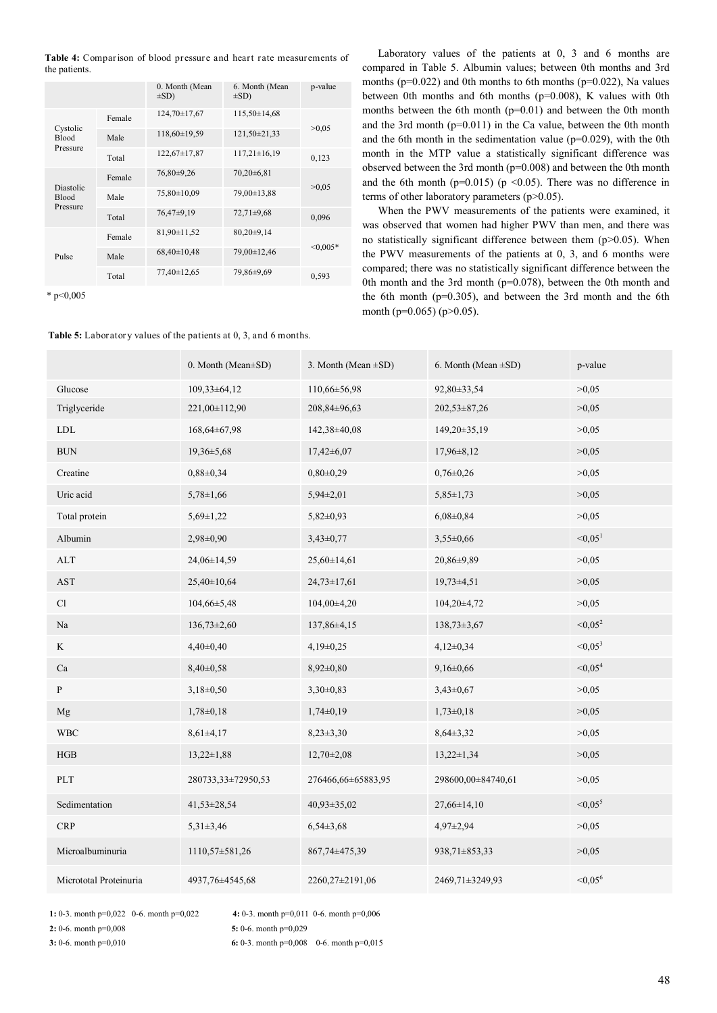|               | <b>Table 4:</b> Comparison of blood pressure and heart rate measurements of |  |  |  |  |
|---------------|-----------------------------------------------------------------------------|--|--|--|--|
| the patients. |                                                                             |  |  |  |  |

|                                              |        | 0. Month (Mean<br>$\pm SD$ ) | 6. Month (Mean<br>$\pm SD$ ) | p-value    |
|----------------------------------------------|--------|------------------------------|------------------------------|------------|
| Cystolic<br><b>Blood</b><br>Pressure         | Female | $124,70 \pm 17,67$           | $115,50\pm14,68$             |            |
|                                              | Male   | 118,60±19,59                 | 121,50±21,33                 | >0.05      |
|                                              | Total  | $122,67 \pm 17,87$           | $117,21\pm 16,19$            | 0,123      |
| <b>Diastolic</b><br><b>Blood</b><br>Pressure | Female | 76,80±9,26                   | $70,20+6,81$                 |            |
|                                              | Male   | 75,80±10,09                  | 79,00±13,88                  | >0.05      |
|                                              | Total  | 76,47±9,19                   | $72,71\pm9,68$               | 0,096      |
| Pulse                                        | Female | 81,90±11,52                  | $80,20\pm9,14$               |            |
|                                              | Male   | $68,40\pm10,48$              | 79,00±12,46                  | $< 0.005*$ |
|                                              | Total  | 77,40±12,65                  | 79,86±9,69                   | 0,593      |

\* p<0,005

### Table 5: Laboratory values of the patients at 0, 3, and 6 months.

Laboratory values of the patients at 0, 3 and 6 months are compared in Table 5. Albumin values; between 0th months and 3rd months (p=0.022) and 0th months to 6th months (p=0.022), Na values between 0th months and 6th months (p=0.008), K values with 0th months between the 6th month (p=0.01) and between the 0th month and the 3rd month (p=0.011) in the Ca value, between the 0th month and the 6th month in the sedimentation value ( $p=0.029$ ), with the 0th month in the MTP value a statistically significant difference was observed between the 3rd month (p=0.008) and between the 0th month and the 6th month ( $p=0.015$ ) ( $p \le 0.05$ ). There was no difference in terms of other laboratory parameters (p>0.05).

When the PWV measurements of the patients were examined, it was observed that women had higher PWV than men, and there was no statistically significant difference between them (p>0.05). When the PWV measurements of the patients at 0, 3, and 6 months were compared; there was no statistically significant difference between the 0th month and the 3rd month (p=0.078), between the 0th month and the 6th month ( $p=0.305$ ), and between the 3rd month and the 6th month (p=0.065) (p>0.05).

|                        | 0. Month (Mean±SD) | 3. Month (Mean $\pm SD$ ) | 6. Month (Mean $\pm SD$ ) | p-value               |
|------------------------|--------------------|---------------------------|---------------------------|-----------------------|
| Glucose                | $109,33\pm 64,12$  | 110,66±56,98              | 92,80±33,54               | >0,05                 |
| Triglyceride           | 221,00±112,90      | 208,84±96,63              | 202,53±87,26              | >0,05                 |
| ${\rm LDL}$            | 168,64±67,98       | 142,38±40,08              | 149,20±35,19              | >0,05                 |
| $\rm BUN$              | $19,36 \pm 5,68$   | $17,42\pm6,07$            | $17,96 \pm 8,12$          | >0,05                 |
| Creatine               | $0,88 \pm 0,34$    | $0,80\pm0,29$             | $0,76 \pm 0.26$           | >0,05                 |
| Uric acid              | $5,78 \pm 1,66$    | $5,94\pm2,01$             | $5,85 \pm 1,73$           | >0,05                 |
| Total protein          | $5,69 \pm 1,22$    | $5,82 \pm 0,93$           | $6,08\pm0,84$             | >0,05                 |
| Albumin                | $2,98\pm0,90$      | $3,43\pm0,77$             | $3,55\pm0,66$             | < 0.05 <sup>1</sup>   |
| <b>ALT</b>             | 24,06±14,59        | $25,60 \pm 14,61$         | 20,86±9,89                | >0,05                 |
| $\operatorname{AST}$   | 25,40±10,64        | $24,73 \pm 17,61$         | $19,73\pm4,51$            | >0,05                 |
| Cl                     | 104,66±5,48        | $104,00\pm4,20$           | 104,20±4,72               | >0,05                 |
| $\rm Na$               | $136,73\pm2,60$    | 137,86±4,15               | $138,73\pm3,67$           | $< 0.05^2$            |
| K                      | $4,40\pm0,40$      | $4,19\pm0,25$             | $4,12\pm0,34$             | $< 0.05^3$            |
| Ca                     | $8,40\pm0,58$      | $8,92 \pm 0,80$           | $9,16 \pm 0,66$           | < 0.05 <sup>4</sup>   |
| ${\bf P}$              | $3,18\pm0,50$      | $3,30\pm0,83$             | $3,43\pm0,67$             | >0,05                 |
| Mg                     | $1,78\pm0,18$      | $1,74\pm0,19$             | $1,73\pm0,18$             | >0,05                 |
| <b>WBC</b>             | $8,61\pm4,17$      | $8,23\pm3,30$             | $8,64\pm3,32$             | >0,05                 |
| HGB                    | $13,22 \pm 1,88$   | $12,70\pm2,08$            | $13,22 \pm 1,34$          | >0,05                 |
| PLT                    | 280733,33±72950,53 | 276466,66±65883,95        | 298600,00±84740,61        | >0,05                 |
| Sedimentation          | 41,53±28,54        | $40,93 \pm 35,02$         | $27,66 \pm 14,10$         | $< 0.05$ <sup>5</sup> |
| <b>CRP</b>             | $5,31\pm3,46$      | $6,54\pm3,68$             | $4,97\pm2,94$             | >0,05                 |
| Microalbuminuria       | 1110,57±581,26     | 867,74±475,39             | 938,71±853,33             | >0,05                 |
| Micrototal Proteinuria | 4937,76±4545,68    | 2260,27±2191,06           | 2469,71±3249,93           | $< 0.05^6$            |

**1:** 0-3. month p=0,022 0-6. month p=0,022 **4:** 0-3. month p=0,011 0-6. month p=0,006

**2:** 0-6. month p=0,008 **5:** 0-6. month p=0,029

**3:** 0-6. month p=0,010 **6:** 0-3. month p=0,008 0-6. month p=0,015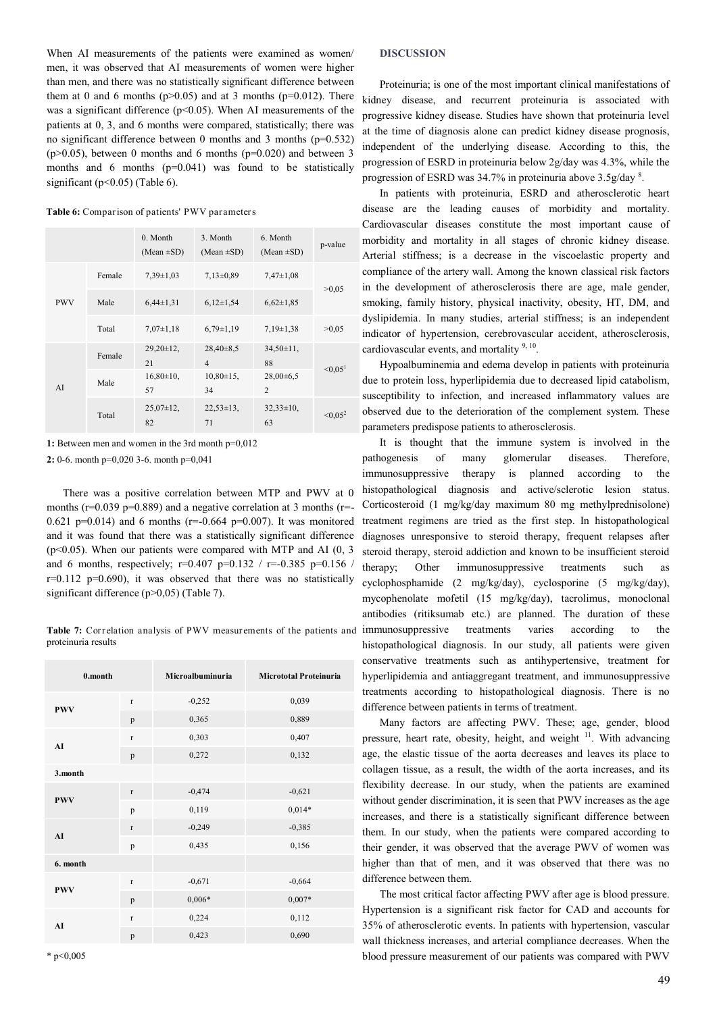When AI measurements of the patients were examined as women/ men, it was observed that AI measurements of women were higher than men, and there was no statistically significant difference between them at 0 and 6 months ( $p>0.05$ ) and at 3 months ( $p=0.012$ ). There was a significant difference ( $p$ <0.05). When AI measurements of the patients at 0, 3, and 6 months were compared, statistically; there was no significant difference between 0 months and 3 months (p=0.532)  $(p>0.05)$ , between 0 months and 6 months  $(p=0.020)$  and between 3 months and 6 months (p=0.041) was found to be statistically significant ( $p<0.05$ ) (Table 6).

**Table 6:** Comparison of patients' PWV parameters

|            |        | 0. Month<br>(Mean $\pm SD$ ) | 3. Month<br>(Mean $\pm SD$ )    | 6. Month<br>(Mean $\pm SD$ )  | p-value       |
|------------|--------|------------------------------|---------------------------------|-------------------------------|---------------|
| <b>PWV</b> | Female | $7,39\pm1,03$                | $7,13\pm0.89$                   | $7,47\pm1,08$                 |               |
|            | Male   | $6,44\pm1,31$                | $6,12\pm1,54$                   | $6,62 \pm 1,85$               | >0.05         |
|            | Total  | $7,07\pm1,18$                | $6,79\pm1,19$                   | $7,19\pm1,38$                 | >0.05         |
| AI         | Female | $29,20\pm12$ ,<br>21         | $28,40\pm8,5$<br>$\overline{4}$ | $34,50 \pm 11$ ,<br>88        |               |
|            | Male   | $16,80\pm10$ ,<br>57         | $10,80\pm15$ ,<br>34            | $28,00+6,5$<br>$\overline{2}$ | $\leq 0.05^1$ |
|            | Total  | $25.07 \pm 12$ ,<br>82       | $22.53 \pm 13$ ,<br>71          | $32.33 \pm 10$ ,<br>63        | $\leq 0.05^2$ |

**1:** Between men and women in the 3rd month p=0,012

**2:** 0-6. month p=0,020 3-6. month p=0,041

There was a positive correlation between MTP and PWV at 0 months ( $r=0.039$  p=0.889) and a negative correlation at 3 months ( $r=$ -0.621 p=0.014) and 6 months ( $r=-0.664$  p=0.007). It was monitored and it was found that there was a statistically significant difference  $(p<0.05)$ . When our patients were compared with MTP and AI  $(0, 3)$ and 6 months, respectively; r=0.407 p=0.132 / r=-0.385 p=0.156 /  $r=0.112$  p=0.690), it was observed that there was no statistically significant difference (p>0,05) (Table 7).

**Table 7:** Correlation analysis of PWV measurements of the patients and proteinuria results

| 0.month    |              | Microalbuminuria | <b>Micrototal Proteinuria</b> |  |
|------------|--------------|------------------|-------------------------------|--|
| <b>PWV</b> | $\mathbf r$  | $-0,252$         | 0,039                         |  |
|            | p            | 0,365            | 0,889                         |  |
| AI         | $\mathbf{r}$ | 0,303            | 0,407                         |  |
|            | p            | 0,272            | 0,132                         |  |
| 3.month    |              |                  |                               |  |
| <b>PWV</b> | $\mathbf r$  | $-0,474$         | $-0,621$                      |  |
|            | p            | 0,119            | $0,014*$                      |  |
| AI         | $\mathbf r$  | $-0,249$         | $-0,385$                      |  |
|            | p            | 0,435            | 0,156                         |  |
| 6. month   |              |                  |                               |  |
| <b>PWV</b> | $\mathbf r$  | $-0,671$         | $-0,664$                      |  |
|            | p            | $0,006*$         | $0,007*$                      |  |
| AI         | $\mathbf{r}$ | 0,224            | 0,112                         |  |
|            | p            | 0,423            | 0,690                         |  |

#### **DISCUSSION**

Proteinuria; is one of the most important clinical manifestations of kidney disease, and recurrent proteinuria is associated with progressive kidney disease. Studies have shown that proteinuria level at the time of diagnosis alone can predict kidney disease prognosis, independent of the underlying disease. According to this, the progression of ESRD in proteinuria below 2g/day was 4.3%, while the progression of ESRD was 34.7% in proteinuria above 3.5g/day <sup>8</sup>.

In patients with proteinuria, ESRD and atherosclerotic heart disease are the leading causes of morbidity and mortality. Cardiovascular diseases constitute the most important cause of morbidity and mortality in all stages of chronic kidney disease. Arterial stiffness; is a decrease in the viscoelastic property and compliance of the artery wall. Among the known classical risk factors in the development of atherosclerosis there are age, male gender, smoking, family history, physical inactivity, obesity, HT, DM, and dyslipidemia. In many studies, arterial stiffness; is an independent indicator of hypertension, cerebrovascular accident, atherosclerosis, cardiovascular events, and mortality  $9, 10$ .

Hypoalbuminemia and edema develop in patients with proteinuria due to protein loss, hyperlipidemia due to decreased lipid catabolism, susceptibility to infection, and increased inflammatory values are observed due to the deterioration of the complement system. These parameters predispose patients to atherosclerosis.

It is thought that the immune system is involved in the pathogenesis of many glomerular diseases. Therefore, immunosuppressive therapy is planned according to the histopathological diagnosis and active/sclerotic lesion status. Corticosteroid (1 mg/kg/day maximum 80 mg methylprednisolone) treatment regimens are tried as the first step. In histopathological diagnoses unresponsive to steroid therapy, frequent relapses after steroid therapy, steroid addiction and known to be insufficient steroid therapy; Other immunosuppressive treatments such as cyclophosphamide (2 mg/kg/day), cyclosporine (5 mg/kg/day), mycophenolate mofetil (15 mg/kg/day), tacrolimus, monoclonal antibodies (ritiksumab etc.) are planned. The duration of these immunosuppressive treatments varies according to the histopathological diagnosis. In our study, all patients were given conservative treatments such as antihypertensive, treatment for hyperlipidemia and antiaggregant treatment, and immunosuppressive treatments according to histopathological diagnosis. There is no difference between patients in terms of treatment.

Many factors are affecting PWV. These; age, gender, blood pressure, heart rate, obesity, height, and weight <sup>11</sup>. With advancing age, the elastic tissue of the aorta decreases and leaves its place to collagen tissue, as a result, the width of the aorta increases, and its flexibility decrease. In our study, when the patients are examined without gender discrimination, it is seen that PWV increases as the age increases, and there is a statistically significant difference between them. In our study, when the patients were compared according to their gender, it was observed that the average PWV of women was higher than that of men, and it was observed that there was no difference between them.

The most critical factor affecting PWV after age is blood pressure. Hypertension is a significant risk factor for CAD and accounts for 35% of atherosclerotic events. In patients with hypertension, vascular wall thickness increases, and arterial compliance decreases. When the blood pressure measurement of our patients was compared with PWV